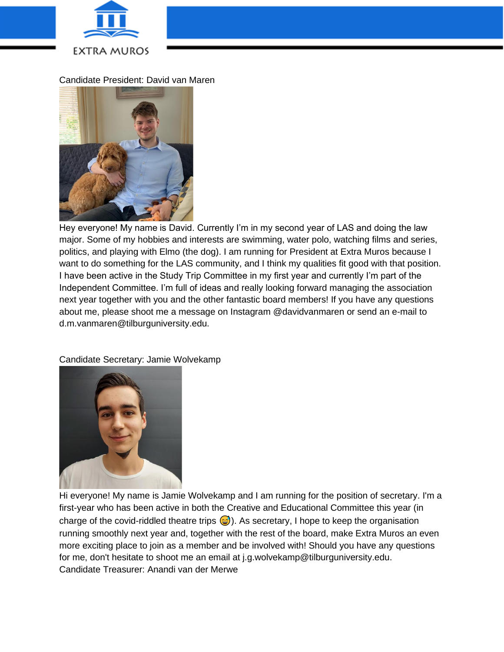

Candidate President: David van Maren



Hey everyone! My name is David. Currently I'm in my second year of LAS and doing the law major. Some of my hobbies and interests are swimming, water polo, watching films and series, politics, and playing with Elmo (the dog). I am running for President at Extra Muros because I want to do something for the LAS community, and I think my qualities fit good with that position. I have been active in the Study Trip Committee in my first year and currently I'm part of the Independent Committee. I'm full of ideas and really looking forward managing the association next year together with you and the other fantastic board members! If you have any questions about me, please shoot me a message on Instagram @davidvanmaren or send an e-mail to d.m.vanmaren@tilburguniversity.edu.

Candidate Secretary: Jamie Wolvekamp



Hi everyone! My name is Jamie Wolvekamp and I am running for the position of secretary. I'm a first-year who has been active in both the Creative and Educational Committee this year (in charge of the covid-riddled theatre trips  $\odot$ ). As secretary, I hope to keep the organisation running smoothly next year and, together with the rest of the board, make Extra Muros an even more exciting place to join as a member and be involved with! Should you have any questions for me, don't hesitate to shoot me an email at j.g.wolvekamp@tilburguniversity.edu. Candidate Treasurer: Anandi van der Merwe